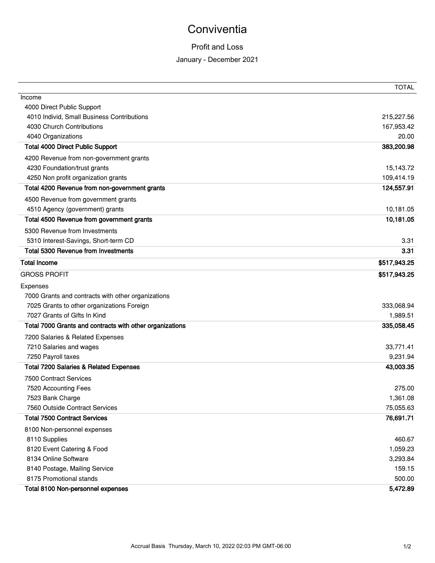# **Conviventia**

## Profit and Loss

### January - December 2021

|                                                          | <b>TOTAL</b> |
|----------------------------------------------------------|--------------|
| Income                                                   |              |
| 4000 Direct Public Support                               |              |
| 4010 Individ, Small Business Contributions               | 215,227.56   |
| 4030 Church Contributions                                | 167,953.42   |
| 4040 Organizations                                       | 20.00        |
| <b>Total 4000 Direct Public Support</b>                  | 383,200.98   |
| 4200 Revenue from non-government grants                  |              |
| 4230 Foundation/trust grants                             | 15,143.72    |
| 4250 Non profit organization grants                      | 109,414.19   |
| Total 4200 Revenue from non-government grants            | 124,557.91   |
| 4500 Revenue from government grants                      |              |
| 4510 Agency (government) grants                          | 10,181.05    |
| Total 4500 Revenue from government grants                | 10,181.05    |
| 5300 Revenue from Investments                            |              |
| 5310 Interest-Savings, Short-term CD                     | 3.31         |
| <b>Total 5300 Revenue from Investments</b>               | 3.31         |
| <b>Total Income</b>                                      | \$517,943.25 |
| <b>GROSS PROFIT</b>                                      | \$517,943.25 |
| Expenses                                                 |              |
| 7000 Grants and contracts with other organizations       |              |
| 7025 Grants to other organizations Foreign               | 333,068.94   |
| 7027 Grants of Gifts In Kind                             | 1,989.51     |
| Total 7000 Grants and contracts with other organizations | 335,058.45   |
| 7200 Salaries & Related Expenses                         |              |
| 7210 Salaries and wages                                  | 33,771.41    |
| 7250 Payroll taxes                                       | 9,231.94     |
| <b>Total 7200 Salaries &amp; Related Expenses</b>        | 43,003.35    |
| <b>7500 Contract Services</b>                            |              |
| 7520 Accounting Fees                                     | 275.00       |
| 7523 Bank Charge                                         | 1,361.08     |
| 7560 Outside Contract Services                           | 75,055.63    |
| <b>Total 7500 Contract Services</b>                      | 76,691.71    |
| 8100 Non-personnel expenses                              |              |
| 8110 Supplies                                            | 460.67       |
| 8120 Event Catering & Food                               | 1,059.23     |
| 8134 Online Software                                     | 3,293.84     |
| 8140 Postage, Mailing Service                            | 159.15       |
| 8175 Promotional stands                                  | 500.00       |
| Total 8100 Non-personnel expenses                        | 5,472.89     |